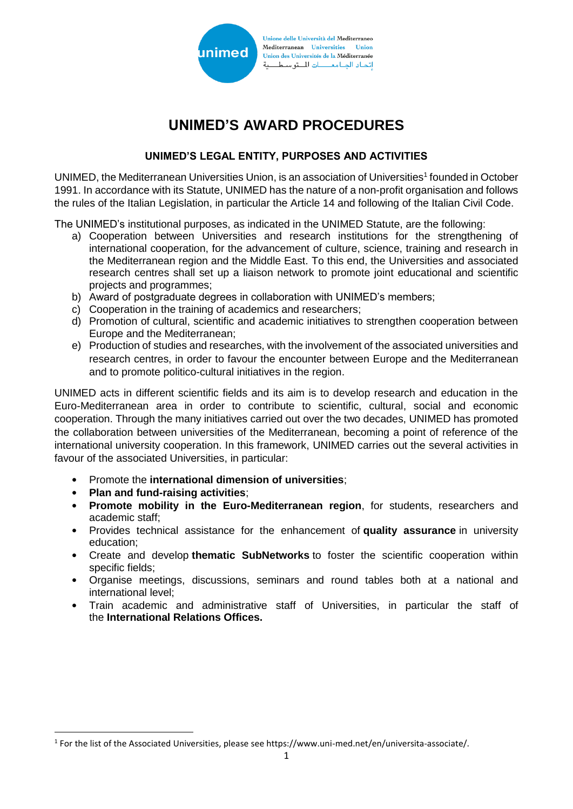

# **UNIMED'S AWARD PROCEDURES**

# **UNIMED'S LEGAL ENTITY, PURPOSES AND ACTIVITIES**

UNIMED, the Mediterranean Universities Union, is an association of Universities<sup>1</sup> founded in October 1991. In accordance with its Statute, UNIMED has the nature of a non-profit organisation and follows the rules of the Italian Legislation, in particular the Article 14 and following of the Italian Civil Code.

The UNIMED's institutional purposes, as indicated in the UNIMED Statute, are the following:

- a) Cooperation between Universities and research institutions for the strengthening of international cooperation, for the advancement of culture, science, training and research in the Mediterranean region and the Middle East. To this end, the Universities and associated research centres shall set up a liaison network to promote joint educational and scientific projects and programmes;
- b) Award of postgraduate degrees in collaboration with UNIMED's members;
- c) Cooperation in the training of academics and researchers;
- d) Promotion of cultural, scientific and academic initiatives to strengthen cooperation between Europe and the Mediterranean;
- e) Production of studies and researches, with the involvement of the associated universities and research centres, in order to favour the encounter between Europe and the Mediterranean and to promote politico-cultural initiatives in the region.

UNIMED acts in different scientific fields and its aim is to develop research and education in the Euro-Mediterranean area in order to contribute to scientific, cultural, social and economic cooperation. Through the many initiatives carried out over the two decades, UNIMED has promoted the collaboration between universities of the Mediterranean, becoming a point of reference of the international university cooperation. In this framework, UNIMED carries out the several activities in favour of the associated Universities, in particular:

- Promote the **international dimension of universities**;
- **Plan and fund-raising activities**;

**.** 

- **Promote mobility in the Euro-Mediterranean region**, for students, researchers and academic staff;
- Provides technical assistance for the enhancement of **quality assurance** in university education;
- Create and develop **thematic SubNetworks** to foster the scientific cooperation within specific fields;
- Organise meetings, discussions, seminars and round tables both at a national and international level;
- Train academic and administrative staff of Universities, in particular the staff of the **International Relations Offices.**

<sup>&</sup>lt;sup>1</sup> For the list of the Associated Universities, please see https://www.uni-med.net/en/universita-associate/.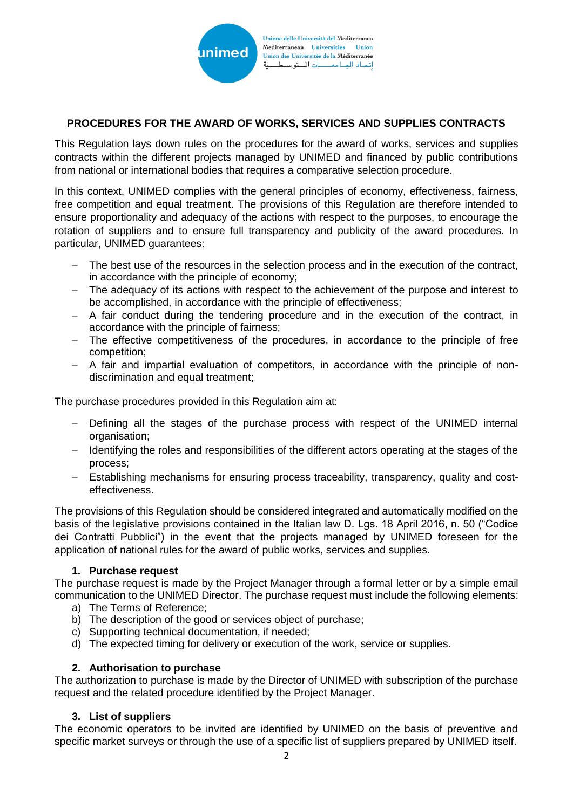

## **PROCEDURES FOR THE AWARD OF WORKS, SERVICES AND SUPPLIES CONTRACTS**

This Regulation lays down rules on the procedures for the award of works, services and supplies contracts within the different projects managed by UNIMED and financed by public contributions from national or international bodies that requires a comparative selection procedure.

In this context, UNIMED complies with the general principles of economy, effectiveness, fairness, free competition and equal treatment. The provisions of this Regulation are therefore intended to ensure proportionality and adequacy of the actions with respect to the purposes, to encourage the rotation of suppliers and to ensure full transparency and publicity of the award procedures. In particular, UNIMED guarantees:

- − The best use of the resources in the selection process and in the execution of the contract, in accordance with the principle of economy;
- − The adequacy of its actions with respect to the achievement of the purpose and interest to be accomplished, in accordance with the principle of effectiveness;
- − A fair conduct during the tendering procedure and in the execution of the contract, in accordance with the principle of fairness;
- − The effective competitiveness of the procedures, in accordance to the principle of free competition;
- − A fair and impartial evaluation of competitors, in accordance with the principle of nondiscrimination and equal treatment;

The purchase procedures provided in this Regulation aim at:

- − Defining all the stages of the purchase process with respect of the UNIMED internal organisation;
- − Identifying the roles and responsibilities of the different actors operating at the stages of the process;
- − Establishing mechanisms for ensuring process traceability, transparency, quality and costeffectiveness.

The provisions of this Regulation should be considered integrated and automatically modified on the basis of the legislative provisions contained in the Italian law D. Lgs. 18 April 2016, n. 50 ("Codice dei Contratti Pubblici") in the event that the projects managed by UNIMED foreseen for the application of national rules for the award of public works, services and supplies.

#### **1. Purchase request**

The purchase request is made by the Project Manager through a formal letter or by a simple email communication to the UNIMED Director. The purchase request must include the following elements:

- a) The Terms of Reference;
- b) The description of the good or services object of purchase;
- c) Supporting technical documentation, if needed;
- d) The expected timing for delivery or execution of the work, service or supplies.

#### **2. Authorisation to purchase**

The authorization to purchase is made by the Director of UNIMED with subscription of the purchase request and the related procedure identified by the Project Manager.

## **3. List of suppliers**

The economic operators to be invited are identified by UNIMED on the basis of preventive and specific market surveys or through the use of a specific list of suppliers prepared by UNIMED itself.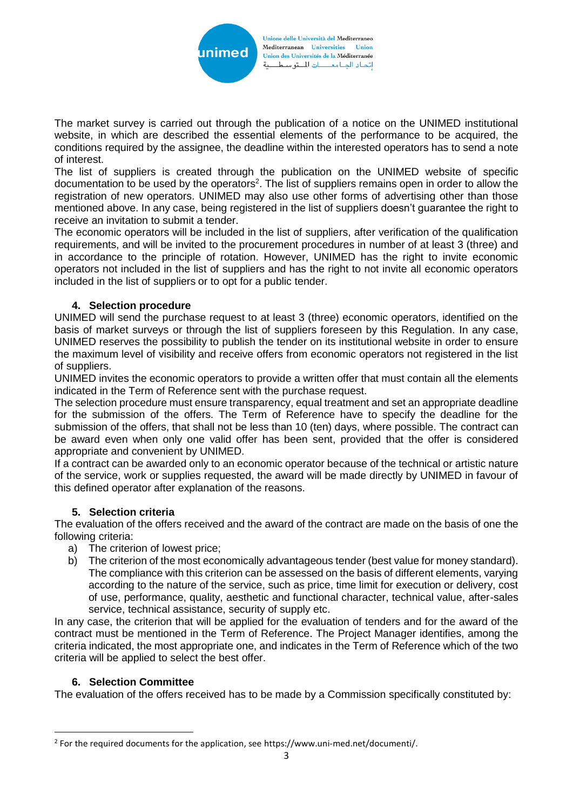

The market survey is carried out through the publication of a notice on the UNIMED institutional website, in which are described the essential elements of the performance to be acquired, the conditions required by the assignee, the deadline within the interested operators has to send a note of interest.

The list of suppliers is created through the publication on the UNIMED website of specific documentation to be used by the operators<sup>2</sup>. The list of suppliers remains open in order to allow the registration of new operators. UNIMED may also use other forms of advertising other than those mentioned above. In any case, being registered in the list of suppliers doesn't guarantee the right to receive an invitation to submit a tender.

The economic operators will be included in the list of suppliers, after verification of the qualification requirements, and will be invited to the procurement procedures in number of at least 3 (three) and in accordance to the principle of rotation. However, UNIMED has the right to invite economic operators not included in the list of suppliers and has the right to not invite all economic operators included in the list of suppliers or to opt for a public tender.

## **4. Selection procedure**

UNIMED will send the purchase request to at least 3 (three) economic operators, identified on the basis of market surveys or through the list of suppliers foreseen by this Regulation. In any case, UNIMED reserves the possibility to publish the tender on its institutional website in order to ensure the maximum level of visibility and receive offers from economic operators not registered in the list of suppliers.

UNIMED invites the economic operators to provide a written offer that must contain all the elements indicated in the Term of Reference sent with the purchase request.

The selection procedure must ensure transparency, equal treatment and set an appropriate deadline for the submission of the offers. The Term of Reference have to specify the deadline for the submission of the offers, that shall not be less than 10 (ten) days, where possible. The contract can be award even when only one valid offer has been sent, provided that the offer is considered appropriate and convenient by UNIMED.

If a contract can be awarded only to an economic operator because of the technical or artistic nature of the service, work or supplies requested, the award will be made directly by UNIMED in favour of this defined operator after explanation of the reasons.

## **5. Selection criteria**

The evaluation of the offers received and the award of the contract are made on the basis of one the following criteria:

- a) The criterion of lowest price;<br>b) The criterion of the most ecor
- The criterion of the most economically advantageous tender (best value for money standard). The compliance with this criterion can be assessed on the basis of different elements, varying according to the nature of the service, such as price, time limit for execution or delivery, cost of use, performance, quality, aesthetic and functional character, technical value, after-sales service, technical assistance, security of supply etc.

In any case, the criterion that will be applied for the evaluation of tenders and for the award of the contract must be mentioned in the Term of Reference. The Project Manager identifies, among the criteria indicated, the most appropriate one, and indicates in the Term of Reference which of the two criteria will be applied to select the best offer.

## **6. Selection Committee**

**.** 

The evaluation of the offers received has to be made by a Commission specifically constituted by:

<sup>&</sup>lt;sup>2</sup> For the required documents for the application, see https://www.uni-med.net/documenti/.